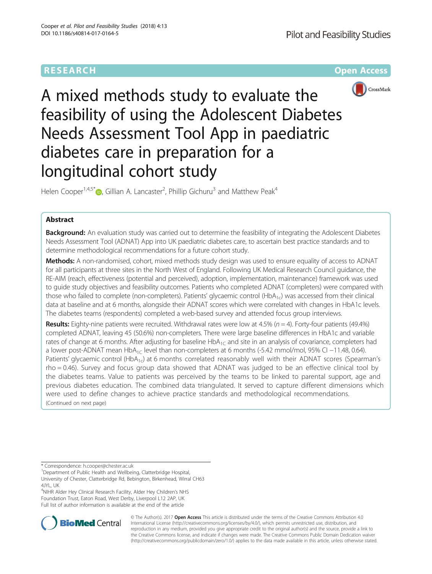# **RESEARCH CHEAR CHEAR CHEAR CHEAR CHEAR CHEAR CHEAR CHEAR CHEAR CHEAR CHEAR CHEAR CHEAR CHEAR CHEAR CHEAR CHEAR**



A mixed methods study to evaluate the feasibility of using the Adolescent Diabetes Needs Assessment Tool App in paediatric diabetes care in preparation for a longitudinal cohort study

Helen Cooper<sup>1[,](http://orcid.org/0000-0001-7596-1891)4,5\*</sup>®, Gillian A. Lancaster<sup>2</sup>, Phillip Gichuru<sup>3</sup> and Matthew Peak<sup>4</sup>

## Abstract

Background: An evaluation study was carried out to determine the feasibility of integrating the Adolescent Diabetes Needs Assessment Tool (ADNAT) App into UK paediatric diabetes care, to ascertain best practice standards and to determine methodological recommendations for a future cohort study.

Methods: A non-randomised, cohort, mixed methods study design was used to ensure equality of access to ADNAT for all participants at three sites in the North West of England. Following UK Medical Research Council guidance, the RE-AIM (reach, effectiveness (potential and perceived), adoption, implementation, maintenance) framework was used to guide study objectives and feasibility outcomes. Patients who completed ADNAT (completers) were compared with those who failed to complete (non-completers). Patients' glycaemic control (HbA<sub>1c</sub>) was accessed from their clinical data at baseline and at 6 months, alongside their ADNAT scores which were correlated with changes in HbA1c levels. The diabetes teams (respondents) completed a web-based survey and attended focus group interviews.

Results: Eighty-nine patients were recruited. Withdrawal rates were low at 4.5% ( $n = 4$ ). Forty-four patients (49.4%) completed ADNAT, leaving 45 (50.6%) non-completers. There were large baseline differences in HbA1c and variable rates of change at 6 months. After adjusting for baseline  $HbA_{1C}$  and site in an analysis of covariance, completers had a lower post-ADNAT mean HbA<sub>1C</sub> level than non-completers at 6 months (-5.42 mmol/mol, 95% CI −11.48, 0.64). Patients' glycaemic control (HbA<sub>1c</sub>) at 6 months correlated reasonably well with their ADNAT scores (Spearman's rho = 0.46). Survey and focus group data showed that ADNAT was judged to be an effective clinical tool by the diabetes teams. Value to patients was perceived by the teams to be linked to parental support, age and previous diabetes education. The combined data triangulated. It served to capture different dimensions which were used to define changes to achieve practice standards and methodological recommendations. (Continued on next page)

<sup>1</sup> Department of Public Health and Wellbeing, Clatterbridge Hospital,

<sup>4</sup>NIHR Alder Hey Clinical Research Facility, Alder Hey Children's NHS Foundation Trust, Eaton Road, West Derby, Liverpool L12 2AP, UK Full list of author information is available at the end of the article



© The Author(s). 2017 **Open Access** This article is distributed under the terms of the Creative Commons Attribution 4.0 International License [\(http://creativecommons.org/licenses/by/4.0/](http://creativecommons.org/licenses/by/4.0/)), which permits unrestricted use, distribution, and reproduction in any medium, provided you give appropriate credit to the original author(s) and the source, provide a link to the Creative Commons license, and indicate if changes were made. The Creative Commons Public Domain Dedication waiver [\(http://creativecommons.org/publicdomain/zero/1.0/](http://creativecommons.org/publicdomain/zero/1.0/)) applies to the data made available in this article, unless otherwise stated.

<sup>\*</sup> Correspondence: [h.cooper@chester.ac.uk](mailto:h.cooper@chester.ac.uk) <sup>1</sup>

University of Chester, Clatterbridge Rd, Bebington, Birkenhead, Wirral CH63 4JYL, UK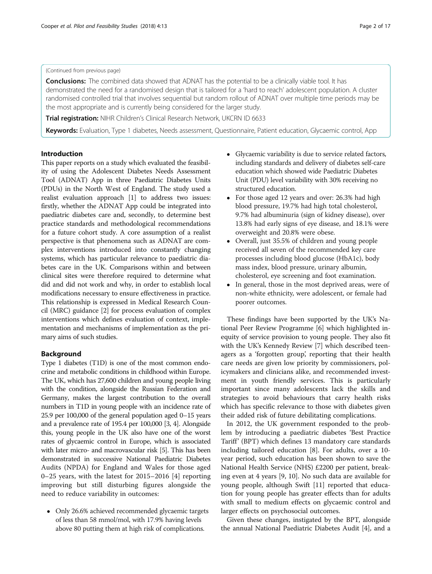### (Continued from previous page)

**Conclusions:** The combined data showed that ADNAT has the potential to be a clinically viable tool. It has demonstrated the need for a randomised design that is tailored for a 'hard to reach' adolescent population. A cluster randomised controlled trial that involves sequential but random rollout of ADNAT over multiple time periods may be the most appropriate and is currently being considered for the larger study.

Trial registration: NIHR Children's Clinical Research Network, [UKCRN ID 6633](http://public-odp.nihr.ac.uk/QvAJAXZfc/opendoc.htm?document=CRNCC_Users%2FFind%20A%20Clinical%20Research%20Study.qvw&host=QVS%40win-qs1ilmcfh2h&anonymous=true&sheet=SH75&bookmark=Document%5CBM02&select=LB572%2C=StudyID=6633)

Keywords: Evaluation, Type 1 diabetes, Needs assessment, Questionnaire, Patient education, Glycaemic control, App

### Introduction

This paper reports on a study which evaluated the feasibility of using the Adolescent Diabetes Needs Assessment Tool (ADNAT) App in three Paediatric Diabetes Units (PDUs) in the North West of England. The study used a realist evaluation approach [\[1\]](#page-15-0) to address two issues: firstly, whether the ADNAT App could be integrated into paediatric diabetes care and, secondly, to determine best practice standards and methodological recommendations for a future cohort study. A core assumption of a realist perspective is that phenomena such as ADNAT are complex interventions introduced into constantly changing systems, which has particular relevance to paediatric diabetes care in the UK. Comparisons within and between clinical sites were therefore required to determine what did and did not work and why, in order to establish local modifications necessary to ensure effectiveness in practice. This relationship is expressed in Medical Research Council (MRC) guidance [\[2](#page-15-0)] for process evaluation of complex interventions which defines evaluation of context, implementation and mechanisms of implementation as the primary aims of such studies.

### Background

Type 1 diabetes (T1D) is one of the most common endocrine and metabolic conditions in childhood within Europe. The UK, which has 27,600 children and young people living with the condition, alongside the Russian Federation and Germany, makes the largest contribution to the overall numbers in T1D in young people with an incidence rate of 25.9 per 100,000 of the general population aged 0–15 years and a prevalence rate of 195.4 per 100,000 [\[3, 4\]](#page-15-0). Alongside this, young people in the UK also have one of the worst rates of glycaemic control in Europe, which is associated with later micro- and macrovascular risk [\[5\]](#page-15-0). This has been demonstrated in successive National Paediatric Diabetes Audits (NPDA) for England and Wales for those aged 0–25 years, with the latest for 2015–2016 [\[4](#page-15-0)] reporting improving but still disturbing figures alongside the need to reduce variability in outcomes:

 Only 26.6% achieved recommended glycaemic targets of less than 58 mmol/mol, with 17.9% having levels above 80 putting them at high risk of complications.

- Glycaemic variability is due to service related factors, including standards and delivery of diabetes self-care education which showed wide Paediatric Diabetes Unit (PDU) level variability with 30% receiving no structured education.
- For those aged 12 years and over: 26.3% had high blood pressure, 19.7% had high total cholesterol, 9.7% had albuminuria (sign of kidney disease), over 13.8% had early signs of eye disease, and 18.1% were overweight and 20.8% were obese.
- Overall, just 35.5% of children and young people received all seven of the recommended key care processes including blood glucose (HbA1c), body mass index, blood pressure, urinary albumin, cholesterol, eye screening and foot examination.
- In general, those in the most deprived areas, were of non-white ethnicity, were adolescent, or female had poorer outcomes.

These findings have been supported by the UK's National Peer Review Programme [[6\]](#page-15-0) which highlighted inequity of service provision to young people. They also fit with the UK's Kennedy Review [\[7](#page-15-0)] which described teenagers as a 'forgotten group', reporting that their health care needs are given low priority by commissioners, policymakers and clinicians alike, and recommended investment in youth friendly services. This is particularly important since many adolescents lack the skills and strategies to avoid behaviours that carry health risks which has specific relevance to those with diabetes given their added risk of future debilitating complications.

In 2012, the UK government responded to the problem by introducing a paediatric diabetes 'Best Practice Tariff' (BPT) which defines 13 mandatory care standards including tailored education [\[8](#page-15-0)]. For adults, over a 10 year period, such education has been shown to save the National Health Service (NHS) £2200 per patient, breaking even at 4 years [[9, 10\]](#page-15-0). No such data are available for young people, although Swift [[11\]](#page-15-0) reported that education for young people has greater effects than for adults with small to medium effects on glycaemic control and larger effects on psychosocial outcomes.

Given these changes, instigated by the BPT, alongside the annual National Paediatric Diabetes Audit [\[4](#page-15-0)], and a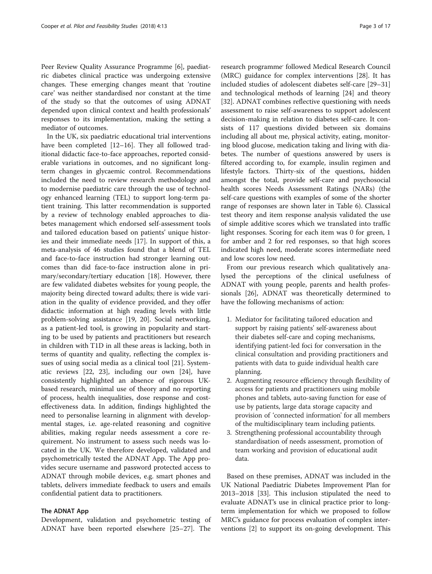Peer Review Quality Assurance Programme [\[6](#page-15-0)], paediatric diabetes clinical practice was undergoing extensive changes. These emerging changes meant that 'routine care' was neither standardised nor constant at the time of the study so that the outcomes of using ADNAT depended upon clinical context and health professionals' responses to its implementation, making the setting a mediator of outcomes.

In the UK, six paediatric educational trial interventions have been completed [\[12](#page-15-0)–[16\]](#page-16-0). They all followed traditional didactic face-to-face approaches, reported considerable variations in outcomes, and no significant longterm changes in glycaemic control. Recommendations included the need to review research methodology and to modernise paediatric care through the use of technology enhanced learning (TEL) to support long-term patient training. This latter recommendation is supported by a review of technology enabled approaches to diabetes management which endorsed self-assessment tools and tailored education based on patients' unique histories and their immediate needs [\[17](#page-16-0)]. In support of this, a meta-analysis of 46 studies found that a blend of TEL and face-to-face instruction had stronger learning outcomes than did face-to-face instruction alone in primary/secondary/tertiary education [\[18\]](#page-16-0). However, there are few validated diabetes websites for young people, the majority being directed toward adults; there is wide variation in the quality of evidence provided, and they offer didactic information at high reading levels with little problem-solving assistance [\[19](#page-16-0), [20\]](#page-16-0). Social networking, as a patient-led tool, is growing in popularity and starting to be used by patients and practitioners but research in children with T1D in all these areas is lacking, both in terms of quantity and quality, reflecting the complex issues of using social media as a clinical tool [[21\]](#page-16-0). Systematic reviews [[22, 23](#page-16-0)], including our own [\[24](#page-16-0)], have consistently highlighted an absence of rigorous UKbased research, minimal use of theory and no reporting of process, health inequalities, dose response and costeffectiveness data. In addition, findings highlighted the need to personalise learning in alignment with developmental stages, i.e. age-related reasoning and cognitive abilities, making regular needs assessment a core requirement. No instrument to assess such needs was located in the UK. We therefore developed, validated and psychometrically tested the ADNAT App. The App provides secure username and password protected access to ADNAT through mobile devices, e.g. smart phones and tablets, delivers immediate feedback to users and emails confidential patient data to practitioners.

### The ADNAT App

Development, validation and psychometric testing of ADNAT have been reported elsewhere [\[25](#page-16-0)–[27\]](#page-16-0). The

research programme<sup>,</sup> followed Medical Research Council (MRC) guidance for complex interventions [[28](#page-16-0)]. It has included studies of adolescent diabetes self-care [[29](#page-16-0)–[31](#page-16-0)] and technological methods of learning [[24](#page-16-0)] and theory [[32\]](#page-16-0). ADNAT combines reflective questioning with needs assessment to raise self-awareness to support adolescent decision-making in relation to diabetes self-care. It consists of 117 questions divided between six domains including all about me, physical activity, eating, monitoring blood glucose, medication taking and living with diabetes. The number of questions answered by users is filtered according to, for example, insulin regimen and lifestyle factors. Thirty-six of the questions, hidden amongst the total, provide self-care and psychosocial health scores Needs Assessment Ratings (NARs) (the self-care questions with examples of some of the shorter range of responses are shown later in Table [6\)](#page-8-0). Classical test theory and item response analysis validated the use of simple additive scores which we translated into traffic light responses. Scoring for each item was 0 for green, 1 for amber and 2 for red responses, so that high scores indicated high need, moderate scores intermediate need and low scores low need.

From our previous research which qualitatively analysed the perceptions of the clinical usefulness of ADNAT with young people, parents and health professionals [\[26\]](#page-16-0), ADNAT was theoretically determined to have the following mechanisms of action:

- 1. Mediator for facilitating tailored education and support by raising patients' self-awareness about their diabetes self-care and coping mechanisms, identifying patient-led foci for conversation in the clinical consultation and providing practitioners and patients with data to guide individual health care planning.
- 2. Augmenting resource efficiency through flexibility of access for patients and practitioners using mobile phones and tablets, auto-saving function for ease of use by patients, large data storage capacity and provision of 'connected information' for all members of the multidisciplinary team including patients.
- 3. Strengthening professional accountability through standardisation of needs assessment, promotion of team working and provision of educational audit data.

Based on these premises, ADNAT was included in the UK National Paediatric Diabetes Improvement Plan for 2013–2018 [\[33\]](#page-16-0). This inclusion stipulated the need to evaluate ADNAT's use in clinical practice prior to longterm implementation for which we proposed to follow MRC's guidance for process evaluation of complex interventions [\[2](#page-15-0)] to support its on-going development. This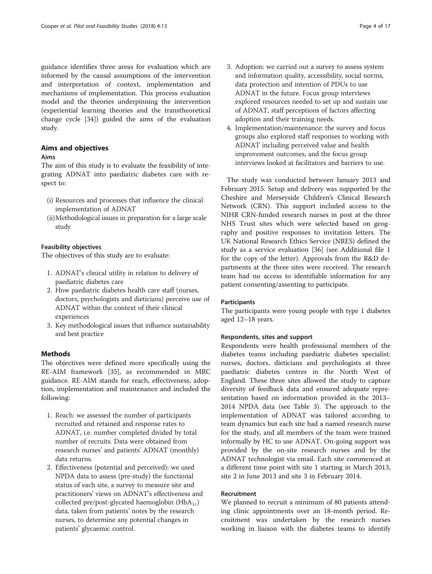guidance identifies three areas for evaluation which are informed by the causal assumptions of the intervention and interpretation of context, implementation and mechanisms of implementation. This process evaluation model and the theories underpinning the intervention (experiential learning theories and the transtheoretical change cycle [[34](#page-16-0)]) guided the aims of the evaluation study.

## Aims and objectives

### Aims

The aim of this study is to evaluate the feasibility of integrating ADNAT into paediatric diabetes care with respect to:

- (i) Resources and processes that influence the clinical implementation of ADNAT
- (ii)Methodological issues in preparation for a large scale study

## Feasibility objectives

The objectives of this study are to evaluate:

- 1. ADNAT's clinical utility in relation to delivery of paediatric diabetes care
- 2. How paediatric diabetes health care staff (nurses, doctors, psychologists and dieticians) perceive use of ADNAT within the context of their clinical experiences
- 3. Key methodological issues that influence sustainability and best practice

## **Methods**

The objectives were defined more specifically using the RE-AIM framework [[35\]](#page-16-0), as recommended in MRC guidance. RE-AIM stands for reach, effectiveness, adoption, implementation and maintenance and included the following:

- 1. Reach: we assessed the number of participants recruited and retained and response rates to ADNAT, i.e. number completed divided by total number of recruits. Data were obtained from research nurses' and patients' ADNAT (monthly) data returns.
- 2. Effectiveness (potential and perceived): we used NPDA data to assess (pre-study) the functional status of each site, a survey to measure site and practitioners' views on ADNAT's effectiveness and collected pre/post-glycated haemoglobin  $(HbA_{1c})$ data, taken from patients' notes by the research nurses, to determine any potential changes in patients' glycaemic control.
- 3. Adoption: we carried out a survey to assess system and information quality, accessibility, social norms, data protection and intention of PDUs to use ADNAT in the future. Focus group interviews explored resources needed to set up and sustain use of ADNAT, staff perceptions of factors affecting adoption and their training needs.
- 4. Implementation/maintenance: the survey and focus groups also explored staff responses to working with ADNAT including perceived value and health improvement outcomes, and the focus group interviews looked at facilitators and barriers to use.

The study was conducted between January 2013 and February 2015. Setup and delivery was supported by the Cheshire and Merseyside Children's Clinical Research Network (CRN). This support included access to the NIHR CRN-funded research nurses in post at the three NHS Trust sites which were selected based on geography and positive responses to invitation letters. The UK National Research Ethics Service (NRES) defined the study as a service evaluation [[36\]](#page-16-0) (see Additional file [1](#page-15-0) for the copy of the letter). Approvals from the R&D departments at the three sites were received. The research team had no access to identifiable information for any patient consenting/assenting to participate.

## **Participants**

The participants were young people with type 1 diabetes aged 12–18 years.

## Respondents, sites and support

Respondents were health professional members of the diabetes teams including paediatric diabetes specialist: nurses, doctors, dieticians and psychologists at three paediatric diabetes centres in the North West of England. These three sites allowed the study to capture diversity of feedback data and ensured adequate representation based on information provided in the 2013– 2014 NPDA data (see Table [3](#page-6-0)). The approach to the implementation of ADNAT was tailored according to team dynamics but each site had a named research nurse for the study, and all members of the team were trained informally by HC to use ADNAT. On-going support was provided by the on-site research nurses and by the ADNAT technologist via email. Each site commenced at a different time point with site 1 starting in March 2013, site 2 in June 2013 and site 3 in February 2014.

## Recruitment

We planned to recruit a minimum of 80 patients attending clinic appointments over an 18-month period. Recruitment was undertaken by the research nurses working in liaison with the diabetes teams to identify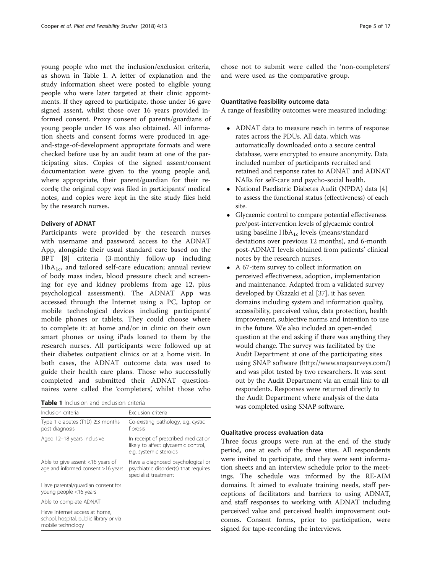young people who met the inclusion/exclusion criteria, as shown in Table 1. A letter of explanation and the study information sheet were posted to eligible young people who were later targeted at their clinic appointments. If they agreed to participate, those under 16 gave signed assent, whilst those over 16 years provided informed consent. Proxy consent of parents/guardians of young people under 16 was also obtained. All information sheets and consent forms were produced in ageand-stage-of-development appropriate formats and were checked before use by an audit team at one of the participating sites. Copies of the signed assent/consent documentation were given to the young people and, where appropriate, their parent/guardian for their records; the original copy was filed in participants' medical notes, and copies were kept in the site study files held by the research nurses.

### Delivery of ADNAT

Participants were provided by the research nurses with username and password access to the ADNAT App, alongside their usual standard care based on the BPT [[8](#page-15-0)] criteria (3-monthly follow-up including  $HbA_{1c}$ , and tailored self-care education; annual review of body mass index, blood pressure check and screening for eye and kidney problems from age 12, plus psychological assessment). The ADNAT App was accessed through the Internet using a PC, laptop or mobile technological devices including participants' mobile phones or tablets. They could choose where to complete it: at home and/or in clinic on their own smart phones or using iPads loaned to them by the research nurses. All participants were followed up at their diabetes outpatient clinics or at a home visit. In both cases, the ADNAT outcome data was used to guide their health care plans. Those who successfully completed and submitted their ADNAT questionnaires were called the 'completers', whilst those who

| Inclusion criteria                                                                            | Exclusion criteria                                                                                   |
|-----------------------------------------------------------------------------------------------|------------------------------------------------------------------------------------------------------|
| Type 1 diabetes (T1D) $\geq$ 3 months<br>post diagnosis                                       | Co-existing pathology, e.g. cystic<br>fibrosis                                                       |
| Aged 12-18 years inclusive                                                                    | In receipt of prescribed medication<br>likely to affect glycaemic control,<br>e.g. systemic steroids |
| Able to give assent <16 years of<br>age and informed consent >16 years                        | Have a diagnosed psychological or<br>psychiatric disorder(s) that requires<br>specialist treatment   |
| Have parental/guardian consent for<br>young people <16 years                                  |                                                                                                      |
| Able to complete ADNAT                                                                        |                                                                                                      |
| Have Internet access at home,<br>school, hospital, public library or via<br>mobile technology |                                                                                                      |

chose not to submit were called the 'non-completers' and were used as the comparative group.

### Quantitative feasibility outcome data

A range of feasibility outcomes were measured including:

- ADNAT data to measure reach in terms of response rates across the PDUs. All data, which was automatically downloaded onto a secure central database, were encrypted to ensure anonymity. Data included number of participants recruited and retained and response rates to ADNAT and ADNAT NARs for self-care and psycho-social health.
- National Paediatric Diabetes Audit (NPDA) data [\[4](#page-15-0)] to assess the functional status (effectiveness) of each site.
- Glycaemic control to compare potential effectiveness pre/post-intervention levels of glycaemic control using baseline  $HbA_{1c}$  levels (means/standard deviations over previous 12 months), and 6-month post-ADNAT levels obtained from patients' clinical notes by the research nurses.
- A 67-item survey to collect information on perceived effectiveness, adoption, implementation and maintenance. Adapted from a validated survey developed by Okazaki et al [[37](#page-16-0)], it has seven domains including system and information quality, accessibility, perceived value, data protection, health improvement, subjective norms and intention to use in the future. We also included an open-ended question at the end asking if there was anything they would change. The survey was facilitated by the Audit Department at one of the participating sites using SNAP software [\(http://www.snapsurveys.com/](http://www.snapsurveys.com/)) and was pilot tested by two researchers. It was sent out by the Audit Department via an email link to all respondents. Responses were returned directly to the Audit Department where analysis of the data was completed using SNAP software.

### Qualitative process evaluation data

Three focus groups were run at the end of the study period, one at each of the three sites. All respondents were invited to participate, and they were sent information sheets and an interview schedule prior to the meetings. The schedule was informed by the RE-AIM domains. It aimed to evaluate training needs, staff perceptions of facilitators and barriers to using ADNAT, and staff responses to working with ADNAT including perceived value and perceived health improvement outcomes. Consent forms, prior to participation, were signed for tape-recording the interviews.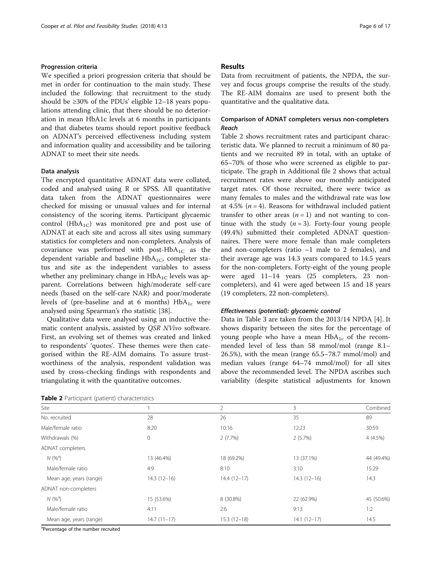### Progression criteria

We specified a priori progression criteria that should be met in order for continuation to the main study. These included the following: that recruitment to the study should be  $\geq 30\%$  of the PDUs' eligible 12–18 years populations attending clinic, that there should be no deterioration in mean HbA1c levels at 6 months in participants and that diabetes teams should report positive feedback on ADNAT's perceived effectiveness including system and information quality and accessibility and be tailoring ADNAT to meet their site needs.

#### Data analysis

The encrypted quantitative ADNAT data were collated, coded and analysed using R or SPSS. All quantitative data taken from the ADNAT questionnaires were checked for missing or unusual values and for internal consistency of the scoring items. Participant glycaemic control (HbA<sub>1C</sub>) was monitored pre and post use of ADNAT at each site and across all sites using summary statistics for completers and non-completers. Analysis of covariance was performed with post-HbA $_{1C}$  as the dependent variable and baseline  $HbA_{1C}$ , completer status and site as the independent variables to assess whether any preliminary change in  $HbA_{1C}$  levels was apparent. Correlations between high/moderate self-care needs (based on the self-care NAR) and poor/moderate levels of (pre-baseline and at 6 months)  $HbA_{1c}$  were analysed using Spearman's rho statistic [[38\]](#page-16-0).

Qualitative data were analysed using an inductive thematic content analysis, assisted by QSR NVivo software. First, an evolving set of themes was created and linked to respondents' 'quotes'. These themes were then categorised within the RE-AIM domains. To assure trustworthiness of the analysis, respondent validation was used by cross-checking findings with respondents and triangulating it with the quantitative outcomes.

|  |  |  | Table 2 Participant (patient) characteristics |
|--|--|--|-----------------------------------------------|
|--|--|--|-----------------------------------------------|

### Results

Data from recruitment of patients, the NPDA, the survey and focus groups comprise the results of the study. The RE-AIM domains are used to present both the quantitative and the qualitative data.

### Comparison of ADNAT completers versus non-completers Reach

Table 2 shows recruitment rates and participant characteristic data. We planned to recruit a minimum of 80 patients and we recruited 89 in total, with an uptake of 65–70% of those who were screened as eligible to participate. The graph in Additional file [2](#page-15-0) shows that actual recruitment rates were above our monthly anticipated target rates. Of those recruited, there were twice as many females to males and the withdrawal rate was low at 4.5% ( $n = 4$ ). Reasons for withdrawal included patient transfer to other areas  $(n = 1)$  and not wanting to continue with the study  $(n = 3)$ . Forty-four young people (49.4%) submitted their completed ADNAT questionnaires. There were more female than male completers and non-completers (ratio  $\sim$ 1 male to 2 females), and their average age was 14.3 years compared to 14.5 years for the non-completers. Forty-eight of the young people were aged 11–14 years (25 completers, 23 noncompleters), and 41 were aged between 15 and 18 years (19 completers, 22 non-completers).

### Effectiveness (potential): glycaemic control

Data in Table [3](#page-6-0) are taken from the 2013/14 NPDA [[4\]](#page-15-0). It shows disparity between the sites for the percentage of young people who have a mean  $HbA_{1c}$  of the recommended level of less than 58 mmol/mol (range 8.1– 26.5%), with the mean (range 65.5–78.7 mmol/mol) and median values (range 64–74 mmol/mol) for all sites above the recommended level. The NPDA ascribes such variability (despite statistical adjustments for known

| <b>Table 2</b> Farticipant (patient) characteristics |               |                |               |            |
|------------------------------------------------------|---------------|----------------|---------------|------------|
| Site                                                 |               | $\overline{2}$ | 3             | Combined   |
| No. recruited                                        | 28            | 26             | 35            | 89         |
| Male/female ratio                                    | 8:20          | 10:16          | 12:23         | 30:59      |
| Withdrawals (%)                                      | $\mathbf 0$   | 2(7.7%)        | 2(5.7%)       | 4 (4.5%)   |
| ADNAT completers                                     |               |                |               |            |
| $N(%^{a})$                                           | 13 (46.4%)    | 18 (69.2%)     | 13 (37.1%)    | 44 (49.4%) |
| Male/female ratio                                    | 4:9           | 8:10           | 3:10          | 15:29      |
| Mean age, years (range)                              | $14.3(12-16)$ | $14.4(12-17)$  | $14.3(12-16)$ | 14.3       |
| ADNAT non-completers                                 |               |                |               |            |
| $N(%^{a})$                                           | 15 (53.6%)    | 8 (30.8%)      | 22 (62.9%)    | 45 (50.6%) |
| Male/female ratio                                    | 4:11          | 2:6            | 9:13          | 1:2        |
| Mean age, years (range)                              | $14.7(11-17)$ | $15.3(12-18)$  | $14.1(12-17)$ | 14.5       |

<sup>a</sup>Percentage of the number recruited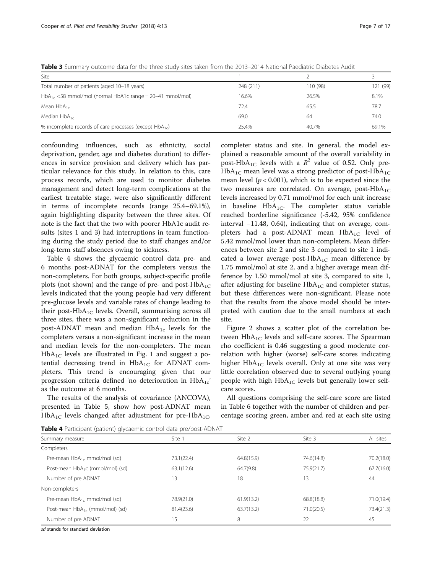<span id="page-6-0"></span>Table 3 Summary outcome data for the three study sites taken from the 2013–2014 National Paediatric Diabetes Audit

| Site                                                          |           |          |          |
|---------------------------------------------------------------|-----------|----------|----------|
| Total number of patients (aged 10-18 years)                   | 248 (211) | 110 (98) | 121 (99) |
| $HbA_{1c}$ <58 mmol/mol (normal HbA1c range = 20-41 mmol/mol) | 16.6%     | 26.5%    | 8.1%     |
| Mean $HbA_{1c}$                                               | 72.4      | 65.5     | 78.7     |
| Median $HbA_{1c}$                                             | 69.0      | 64       | 74.0     |
| % incomplete records of care processes (except $HbA_{1c}$ )   | 25.4%     | 40.7%    | 69.1%    |

confounding influences, such as ethnicity, social deprivation, gender, age and diabetes duration) to differences in service provision and delivery which has particular relevance for this study. In relation to this, care process records, which are used to monitor diabetes management and detect long-term complications at the earliest treatable stage, were also significantly different in terms of incomplete records (range 25.4–69.1%), again highlighting disparity between the three sites. Of note is the fact that the two with poorer HbA1c audit results (sites 1 and 3) had interruptions in team functioning during the study period due to staff changes and/or long-term staff absences owing to sickness.

Table 4 shows the glycaemic control data pre- and 6 months post-ADNAT for the completers versus the non-completers. For both groups, subject-specific profile plots (not shown) and the range of pre- and post-HbA<sub>1C</sub> levels indicated that the young people had very different pre-glucose levels and variable rates of change leading to their post-Hb $A_{1C}$  levels. Overall, summarising across all three sites, there was a non-significant reduction in the post-ADNAT mean and median  $HbA_{1c}$  levels for the completers versus a non-significant increase in the mean and median levels for the non-completers. The mean  $HbA_{1C}$  levels are illustrated in Fig. [1](#page-7-0) and suggest a potential decreasing trend in  $HbA_{1C}$  for ADNAT completers. This trend is encouraging given that our progression criteria defined 'no deterioration in  $HbA_{1c}$ ' as the outcome at 6 months.

The results of the analysis of covariance (ANCOVA), presented in Table [5](#page-7-0), show how post-ADNAT mean  $HbA_{1C}$  levels changed after adjustment for pre-Hb $A_{1C}$ ,

completer status and site. In general, the model explained a reasonable amount of the overall variability in post-HbA<sub>1C</sub> levels with a  $R^2$  value of 0.52. Only pre- $HbA_{1C}$  mean level was a strong predictor of post-HbA<sub>1C</sub> mean level ( $p < 0.001$ ), which is to be expected since the two measures are correlated. On average, post-HbA<sub>1C</sub> levels increased by 0.71 mmol/mol for each unit increase in baseline  $HbA_{1C}$ . The completer status variable reached borderline significance (-5.42, 95% confidence interval −11.48, 0.64), indicating that on average, completers had a post-ADNAT mean  $HbA_{1C}$  level of 5.42 mmol/mol lower than non-completers. Mean differences between site 2 and site 3 compared to site 1 indicated a lower average post-Hb $A_{1C}$  mean difference by 1.75 mmol/mol at site 2, and a higher average mean difference by 1.50 mmol/mol at site 3, compared to site 1, after adjusting for baseline  $HbA_{1C}$  and completer status, but these differences were non-significant. Please note that the results from the above model should be interpreted with caution due to the small numbers at each site.

Figure [2](#page-7-0) shows a scatter plot of the correlation between  $HbA_{1C}$  levels and self-care scores. The Spearman rho coefficient is 0.46 suggesting a good moderate correlation with higher (worse) self-care scores indicating higher Hb $A_{1C}$  levels overall. Only at one site was very little correlation observed due to several outlying young people with high  $HbA_{1C}$  levels but generally lower selfcare scores.

All questions comprising the self-care score are listed in Table [6](#page-8-0) together with the number of children and percentage scoring green, amber and red at each site using

Table 4 Participant (patient) glycaemic control data pre/post-ADNAT

| Summary measure                              | Site 1     | Site 2     | Site 3     | All sites  |
|----------------------------------------------|------------|------------|------------|------------|
| Completers                                   |            |            |            |            |
| Pre-mean $HbA_{1c}$ mmol/mol (sd)            | 73.1(22.4) | 64.8(15.9) | 74.6(14.8) | 70.2(18.0) |
| Post-mean HbA <sub>1</sub> c (mmol/mol) (sd) | 63.1(12.6) | 64.7(9.8)  | 75.9(21.7) | 67.7(16.0) |
| Number of pre ADNAT                          | 13         | 18         | 13         | 44         |
| Non-completers                               |            |            |            |            |
| Pre-mean $HbA_{1c}$ mmol/mol (sd)            | 78.9(21.0) | 61.9(13.2) | 68.8(18.8) | 71.0(19.4) |
| Post-mean $HbA_{1c}$ (mmol/mol) (sd)         | 81.4(23.6) | 63.7(13.2) | 71.0(20.5) | 73.4(21.3) |
| Number of pre ADNAT                          | 15         | 8          | 22         | 45         |

sd stands for standard deviation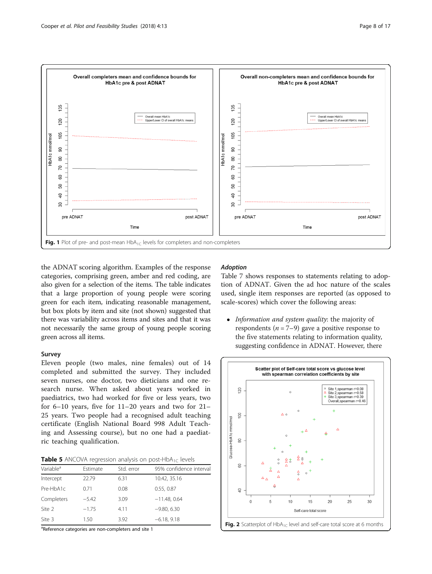<span id="page-7-0"></span>

the ADNAT scoring algorithm. Examples of the response categories, comprising green, amber and red coding, are also given for a selection of the items. The table indicates that a large proportion of young people were scoring green for each item, indicating reasonable management, but box plots by item and site (not shown) suggested that there was variability across items and sites and that it was not necessarily the same group of young people scoring green across all items.

## Survey

Eleven people (two males, nine females) out of 14 completed and submitted the survey. They included seven nurses, one doctor, two dieticians and one research nurse. When asked about years worked in paediatrics, two had worked for five or less years, two for 6–10 years, five for 11–20 years and two for 21– 25 years. Two people had a recognised adult teaching certificate (English National Board 998 Adult Teaching and Assessing course), but no one had a paediatric teaching qualification.

| Table 5 ANCOVA regression analysis on post-HbA <sub>1C</sub> levels |  |
|---------------------------------------------------------------------|--|
|---------------------------------------------------------------------|--|

| Variable <sup>a</sup> | Estimate | Std. error | 95% confidence interval |
|-----------------------|----------|------------|-------------------------|
| Intercept             | 22.79    | 6.31       | 10.42, 35.16            |
| Pre-HbA1c             | 0.71     | 0.08       | 0.55, 0.87              |
| Completers            | $-5.42$  | 3.09       | $-11.48.0.64$           |
| Site 2                | $-1.75$  | 4.11       | $-9.80, 6.30$           |
| Site 3                | 1.50     | 3.92       | $-6.18, 9.18$           |

<sup>a</sup>Reference categories are non-completers and site 1

### Adoption

Table [7](#page-9-0) shows responses to statements relating to adoption of ADNAT. Given the ad hoc nature of the scales used, single item responses are reported (as opposed to scale-scores) which cover the following areas:

• Information and system quality: the majority of respondents ( $n = 7-9$ ) gave a positive response to the five statements relating to information quality, suggesting confidence in ADNAT. However, there

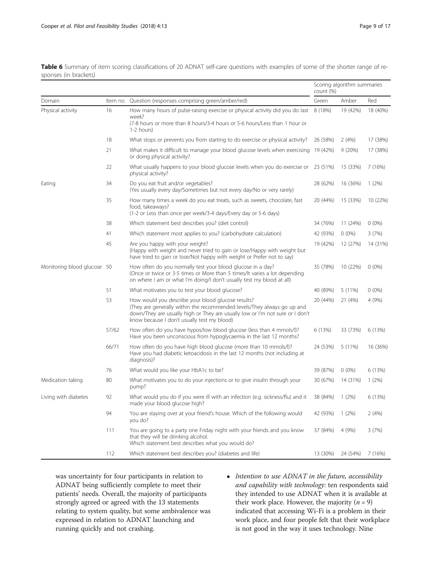|                             |          |                                                                                                                                                                                                                                                               | count (%) | Scoring algorithm summaries |          |
|-----------------------------|----------|---------------------------------------------------------------------------------------------------------------------------------------------------------------------------------------------------------------------------------------------------------------|-----------|-----------------------------|----------|
| Domain                      | Item no. | Question (responses comprising green/amber/red)                                                                                                                                                                                                               | Green     | Amber                       | Red      |
| Physical activity           | 16       | How many hours of pulse-raising exercise or physical activity did you do last 8 (18%)<br>week?<br>(7-8 hours or more than 8 hours/3-4 hours or 5-6 hours/Less than 1 hour or<br>1-2 hours)                                                                    |           | 19 (42%)                    | 18 (40%) |
|                             | 18       | What stops or prevents you from starting to do exercise or physical activity?                                                                                                                                                                                 | 26 (58%)  | 2(4%)                       | 17 (38%) |
|                             | 21       | What makes it difficult to manage your blood glucose levels when exercising 19 (42%)<br>or doing physical activity?                                                                                                                                           |           | 9(20%)                      | 17 (38%) |
|                             | 22       | What usually happens to your blood glucose levels when you do exercise or<br>physical activity?                                                                                                                                                               | 23 (51%)  | 15 (33%)                    | 7 (16%)  |
| Eating                      | 34       | Do you eat fruit and/or vegetables?<br>(Yes usually every day/Sometimes but not every day/No or very rarely)                                                                                                                                                  | 28 (62%)  | 16 (36%)                    | $1(2\%)$ |
|                             | 35       | How many times a week do you eat treats, such as sweets, chocolate, fast<br>food, takeaways?<br>(1-2 or Less than once per week/3-4 days/Every day or 5-6 days)                                                                                               | 20 (44%)  | 15 (33%)                    | 10 (22%) |
|                             | 38       | Which statement best describes you? (diet control)                                                                                                                                                                                                            | 34 (76%)  | 11 (24%)                    | $0(0\%)$ |
|                             | 41       | Which statement most applies to you? (carbohydrate calculation)                                                                                                                                                                                               | 42 (93%)  | $0(0\%)$                    | 3(7%)    |
|                             | 45       | Are you happy with your weight?<br>(Happy with weight and never tried to gain or lose/Happy with weight but<br>have tried to gain or lose/Not happy with weight or Prefer not to say)                                                                         | 19 (42%)  | 12 (27%)                    | 14 (31%) |
| Monitoring blood glucose 50 |          | How often do you normally test your blood glucose in a day?<br>(Once or twice or 3-5 times or More than 5 times/It varies a lot depending<br>on where I am or what I'm doing/I don't usually test my blood at all)                                            |           | 10 (22%)                    | $0(0\%)$ |
|                             | 51       | What motivates you to test your blood glucose?                                                                                                                                                                                                                | 40 (89%)  | 5 (11%)                     | $0(0\%)$ |
|                             | 53       | How would you describe your blood glucose results?<br>(They are generally within the recommended levels/They always go up and<br>down/They are usually high or They are usually low or I'm not sure or I don't<br>know because I don't usually test my blood) | 20 (44%)  | 21 (4%)                     | 4 (9%)   |
|                             | 57/62    | How often do you have hypos/low blood glucose (less than 4 mmols/l)?<br>Have you been unconscious from hypoglycaemia in the last 12 months?                                                                                                                   | 6 (13%)   | 33 (73%)                    | 6 (13%)  |
|                             | 66/71    | How often do you have high blood glucose (more than 10 mmols/l)?<br>Have you had diabetic ketoacidosis in the last 12 months (not including at<br>diagnosis)?                                                                                                 | 24 (53%)  | $5(11\%)$                   | 16 (36%) |
|                             | 76       | What would you like your HbA1c to be?                                                                                                                                                                                                                         | 39 (87%)  | $0(0\%)$                    | 6 (13%)  |
| Medication taking           | 80       | What motivates you to do your injections or to give insulin through your<br>pump?                                                                                                                                                                             | 30 (67%)  | 14 (31%)                    | $1(2\%)$ |
| Living with diabetes        | 92       | What would you do if you were ill with an infection (e.g. sickness/flu) and it<br>made your blood glucose high?                                                                                                                                               | 38 (84%)  | 1(2%)                       | 6(13%)   |
|                             | 94       | You are staying over at your friend's house. Which of the following would<br>you do?                                                                                                                                                                          | 42 (93%)  | 1(2%)                       | 2(4%)    |
|                             | 111      | You are going to a party one Friday night with your friends and you know<br>that they will be drinking alcohol.<br>Which statement best describes what you would do?                                                                                          | 37 (84%)  | 4 (9%)                      | 3(7%)    |
|                             | 112      | Which statement best describes you? (diabetes and life)                                                                                                                                                                                                       | 13 (30%)  | 24 (54%)                    | 7(16%)   |

<span id="page-8-0"></span>Table 6 Summary of item scoring classifications of 20 ADNAT self-care questions with examples of some of the shorter range of responses (in brackets)

was uncertainty for four participants in relation to ADNAT being sufficiently complete to meet their patients' needs. Overall, the majority of participants strongly agreed or agreed with the 13 statements relating to system quality, but some ambivalence was expressed in relation to ADNAT launching and running quickly and not crashing.

 $\bullet$  Intention to use ADNAT in the future, accessibility and capability with technology: ten respondents said they intended to use ADNAT when it is available at their work place. However, the majority  $(n = 9)$ indicated that accessing Wi-Fi is a problem in their work place, and four people felt that their workplace is not good in the way it uses technology. Nine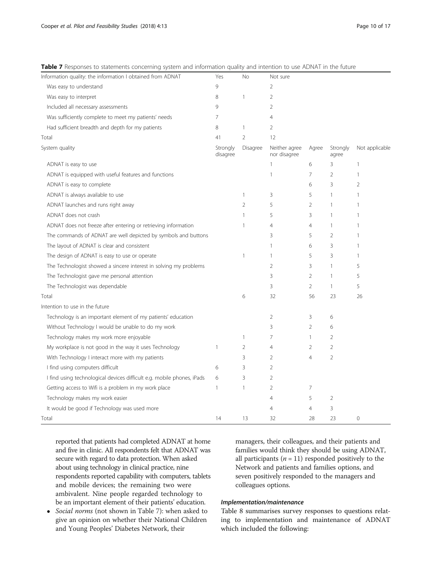| Information quality: the information I obtained from ADNAT             | Yes                  | No             | Not sure                      |                |                   |                |
|------------------------------------------------------------------------|----------------------|----------------|-------------------------------|----------------|-------------------|----------------|
| Was easy to understand                                                 | 9                    |                | $\overline{2}$                |                |                   |                |
| Was easy to interpret                                                  | 8                    | $\mathbf{1}$   | $\overline{2}$                |                |                   |                |
| Included all necessary assessments                                     | 9                    |                | $\overline{2}$                |                |                   |                |
| Was sufficiently complete to meet my patients' needs                   | 7                    |                | $\overline{4}$                |                |                   |                |
| Had sufficient breadth and depth for my patients                       | 8                    | $\mathbf{1}$   | $\overline{2}$                |                |                   |                |
| Total                                                                  | 41                   | $\overline{2}$ | 12                            |                |                   |                |
| System quality                                                         | Strongly<br>disagree | Disagree       | Neither agree<br>nor disagree | Agree          | Strongly<br>agree | Not applicable |
| ADNAT is easy to use                                                   |                      |                | $\overline{1}$                | 6              | 3                 | $\mathbf{1}$   |
| ADNAT is equipped with useful features and functions                   |                      |                | 1                             | 7              | $\overline{2}$    | $\mathbf{1}$   |
| ADNAT is easy to complete                                              |                      |                |                               | 6              | 3                 | $\overline{2}$ |
| ADNAT is always available to use                                       |                      | $\mathbf{1}$   | 3                             | 5              | $\mathbf{1}$      | $\overline{1}$ |
| ADNAT launches and runs right away                                     |                      | $\overline{2}$ | 5                             | $\overline{2}$ | $\mathbf{1}$      | $\mathbf{1}$   |
| ADNAT does not crash                                                   |                      | 1              | 5                             | 3              | 1                 | $\mathbf{1}$   |
| ADNAT does not freeze after entering or retrieving information         |                      | $\mathbf{1}$   | $\overline{4}$                | $\overline{4}$ | 1                 | $\overline{1}$ |
| The commands of ADNAT are well depicted by symbols and buttons         |                      |                | 3                             | 5              | $\overline{2}$    | $\mathbf{1}$   |
| The layout of ADNAT is clear and consistent                            |                      |                | 1                             | 6              | 3                 | $\mathbf{1}$   |
| The design of ADNAT is easy to use or operate                          |                      | $\mathbf{1}$   | $\overline{1}$                | 5              | 3                 | $\overline{1}$ |
| The Technologist showed a sincere interest in solving my problems      |                      |                | $\overline{2}$                | 3              | $\mathbf{1}$      | 5              |
| The Technologist gave me personal attention                            |                      |                | 3                             | $\overline{2}$ | $\mathbf{1}$      | 5              |
| The Technologist was dependable                                        |                      |                | 3                             | $\overline{2}$ | $\mathbf{1}$      | 5              |
| Total                                                                  |                      | 6              | 32                            | 56             | 23                | 26             |
| Intention to use in the future                                         |                      |                |                               |                |                   |                |
| Technology is an important element of my patients' education           |                      |                | $\overline{2}$                | 3              | 6                 |                |
| Without Technology I would be unable to do my work                     |                      |                | 3                             | $\overline{2}$ | 6                 |                |
| Technology makes my work more enjoyable                                |                      | $\mathbf{1}$   | $\overline{7}$                | $\mathbf{1}$   | $\overline{2}$    |                |
| My workplace is not good in the way it uses Technology                 | 1                    | $\overline{2}$ | $\overline{4}$                | $\overline{2}$ | $\overline{2}$    |                |
| With Technology I interact more with my patients                       |                      | 3              | $\overline{2}$                | $\overline{4}$ | $\overline{2}$    |                |
| I find using computers difficult                                       | 6                    | 3              | $\overline{2}$                |                |                   |                |
| I find using technological devices difficult e.g. mobile phones, iPads | 6                    | 3              | $\overline{2}$                |                |                   |                |
| Getting access to Wifi is a problem in my work place                   | 1                    | 1              | $\overline{2}$                | 7              |                   |                |
| Technology makes my work easier                                        |                      |                | $\overline{4}$                | 5              | $\overline{2}$    |                |
| It would be good if Technology was used more                           |                      |                | $\overline{4}$                | $\overline{4}$ | 3                 |                |
| Total                                                                  | 14                   | 13             | 32                            | 28             | 23                | $\mathbf{0}$   |

<span id="page-9-0"></span>Table 7 Responses to statements concerning system and information quality and intention to use ADNAT in the future

reported that patients had completed ADNAT at home and five in clinic. All respondents felt that ADNAT was secure with regard to data protection. When asked about using technology in clinical practice, nine respondents reported capability with computers, tablets and mobile devices; the remaining two were ambivalent. Nine people regarded technology to be an important element of their patients' education.

• Social norms (not shown in Table 7): when asked to give an opinion on whether their National Children and Young Peoples' Diabetes Network, their

managers, their colleagues, and their patients and families would think they should be using ADNAT, all participants ( $n = 11$ ) responded positively to the Network and patients and families options, and seven positively responded to the managers and colleagues options.

## Implementation/maintenance

Table [8](#page-10-0) summarises survey responses to questions relating to implementation and maintenance of ADNAT which included the following: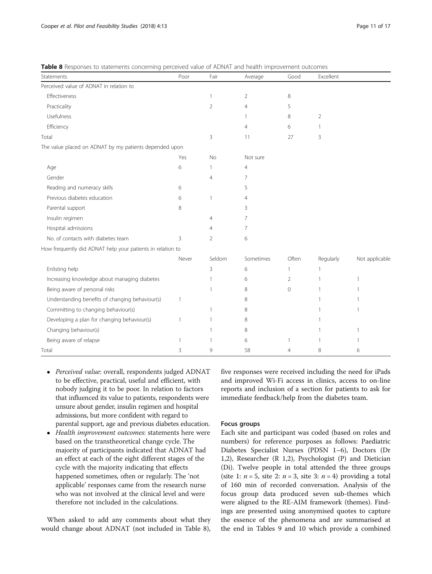| - 1<br>Statements                                          | Poor           | Fair           | Average        | Good           | Excellent      |                |
|------------------------------------------------------------|----------------|----------------|----------------|----------------|----------------|----------------|
| Perceived value of ADNAT in relation to                    |                |                |                |                |                |                |
| Effectiveness                                              |                | 1              | $\overline{2}$ | 8              |                |                |
| Practicality                                               |                | $\overline{2}$ | $\overline{4}$ | 5              |                |                |
| Usefulness                                                 |                |                | 1              | 8              | $\overline{2}$ |                |
| Efficiency                                                 |                |                | $\overline{4}$ | 6              | 1              |                |
| Total                                                      |                | 3              | 11             | 27             | 3              |                |
| The value placed on ADNAT by my patients depended upon     |                |                |                |                |                |                |
|                                                            | Yes            | No             | Not sure       |                |                |                |
| Age                                                        | 6              | 1              | 4              |                |                |                |
| Gender                                                     |                | 4              | 7              |                |                |                |
| Reading and numeracy skills                                | 6              |                | 5              |                |                |                |
| Previous diabetes education                                | 6              | 1              | 4              |                |                |                |
| Parental support                                           | 8              |                | 3              |                |                |                |
| Insulin regimen                                            |                | 4              | 7              |                |                |                |
| Hospital admissions                                        |                | 4              | 7              |                |                |                |
| No. of contacts with diabetes team                         | 3              | $\overline{2}$ | 6              |                |                |                |
| How frequently did ADNAT help your patients in relation to |                |                |                |                |                |                |
|                                                            | Never          | Seldom         | Sometimes      | Often          | Regularly      | Not applicable |
| Enlisting help                                             |                | 3              | 6              | $\mathbf{1}$   | 1              |                |
| Increasing knowledge about managing diabetes               |                |                | 6              | $\overline{2}$ | $\mathbf{1}$   | $\mathbf{1}$   |
| Being aware of personal risks                              |                |                | 8              | $\mathbf{0}$   | $\mathbf{1}$   |                |
| Understanding benefits of changing behaviour(s)            | $\overline{1}$ |                | 8              |                | $\mathbf{1}$   | 1              |
| Committing to changing behaviour(s)                        |                | 1              | 8              |                | $\mathbf{1}$   | $\mathbf{1}$   |
| Developing a plan for changing behaviour(s)                | $\overline{1}$ |                | 8              |                |                |                |
| Changing behaviour(s)                                      |                |                | 8              |                | -1             | $\mathbf{1}$   |
| Being aware of relapse                                     | $\mathbf{1}$   |                | 6              | 1              | $\mathbf{1}$   |                |
| Total                                                      | 3              | 9              | 58             | $\overline{4}$ | 8              | 6              |

<span id="page-10-0"></span>Table 8 Responses to statements concerning perceived value of ADNAT and health improvement outcomes

- Perceived value: overall, respondents judged ADNAT to be effective, practical, useful and efficient, with nobody judging it to be poor. In relation to factors that influenced its value to patients, respondents were unsure about gender, insulin regimen and hospital admissions, but more confident with regard to parental support, age and previous diabetes education.
- Health improvement outcomes: statements here were based on the transtheoretical change cycle. The majority of participants indicated that ADNAT had an effect at each of the eight different stages of the cycle with the majority indicating that effects happened sometimes, often or regularly. The 'not applicable' responses came from the research nurse who was not involved at the clinical level and were therefore not included in the calculations.

When asked to add any comments about what they would change about ADNAT (not included in Table 8),

five responses were received including the need for iPads and improved Wi-Fi access in clinics, access to on-line reports and inclusion of a section for patients to ask for immediate feedback/help from the diabetes team.

### Focus groups

Each site and participant was coded (based on roles and numbers) for reference purposes as follows: Paediatric Diabetes Specialist Nurses (PDSN 1–6), Doctors (Dr 1,2), Researcher (R 1,2), Psychologist (P) and Dietician (Di). Twelve people in total attended the three groups (site 1:  $n = 5$ , site 2:  $n = 3$ , site 3:  $n = 4$ ) providing a total of 160 min of recorded conversation. Analysis of the focus group data produced seven sub-themes which were aligned to the RE-AIM framework (themes). Findings are presented using anonymised quotes to capture the essence of the phenomena and are summarised at the end in Tables [9](#page-11-0) and [10](#page-12-0) which provide a combined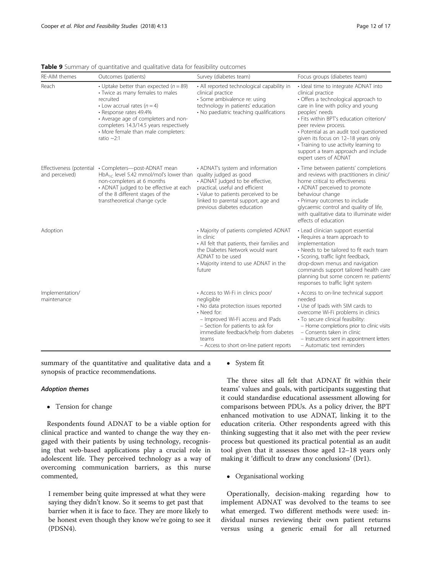| RE-AIM themes                  | Outcomes (patients)                                                                                                                                                                                                                                                                                | Survey (diabetes team)                                                                                                                                                                                                                                                                 | Focus groups (diabetes team)                                                                                                                                                                                                                                                                                                                                                                                              |
|--------------------------------|----------------------------------------------------------------------------------------------------------------------------------------------------------------------------------------------------------------------------------------------------------------------------------------------------|----------------------------------------------------------------------------------------------------------------------------------------------------------------------------------------------------------------------------------------------------------------------------------------|---------------------------------------------------------------------------------------------------------------------------------------------------------------------------------------------------------------------------------------------------------------------------------------------------------------------------------------------------------------------------------------------------------------------------|
| Reach                          | • Uptake better than expected $(n = 89)$<br>• Twice as many females to males<br>recruited<br>• Low accrual rates $(n = 4)$<br>• Response rates 49.4%<br>• Average age of completers and non-<br>completers 14.3/14.5 years respectively<br>• More female than male completers:<br>ratio $\sim$ 2:1 | • All reported technological capability in<br>clinical practice<br>· Some ambivalence re: using<br>technology in patients' education<br>• No paediatric teaching qualifications                                                                                                        | · Ideal time to integrate ADNAT into<br>clinical practice<br>· Offers a technological approach to<br>care in line with policy and young<br>peoples' needs<br>· Fits within BPT's education criterion/<br>peer review process.<br>• Potential as an audit tool questioned<br>given its focus on 12-18 years only<br>• Training to use activity learning to<br>support a team approach and include<br>expert users of ADNAT |
| and perceived)                 | Effectiveness (potential · Completers-post-ADNAT mean<br>$HbA_{1c}$ level 5.42 mmol/mol's lower than<br>non-completers at 6 months<br>• ADNAT judged to be effective at each<br>of the 8 different stages of the<br>transtheoretical change cycle                                                  | • ADNAT's system and information<br>quality judged as good<br>• ADNAT judged to be effective,<br>practical, useful and efficient<br>• Value to patients perceived to be<br>linked to parental support, age and<br>previous diabetes education                                          | · Time between patients' completions<br>and reviews with practitioners in clinic/<br>home critical to effectiveness<br>• ADNAT perceived to promote<br>behaviour change<br>• Primary outcomes to include<br>glycaemic control and quality of life,<br>with qualitative data to illuminate wider<br>effects of education                                                                                                   |
| Adoption                       |                                                                                                                                                                                                                                                                                                    | • Majority of patients completed ADNAT<br>in clinic<br>• All felt that patients, their families and<br>the Diabetes Network would want<br>ADNAT to be used<br>• Majority intend to use ADNAT in the<br>future                                                                          | • Lead clinician support essential<br>• Requires a team approach to<br>implementation<br>• Needs to be tailored to fit each team<br>· Scoring, traffic light feedback,<br>drop-down menus and navigation<br>commands support tailored health care<br>planning but some concern re: patients'<br>responses to traffic light system                                                                                         |
| Implementation/<br>maintenance |                                                                                                                                                                                                                                                                                                    | • Access to Wi-Fi in clinics poor/<br>negligible<br>• No data protection issues reported<br>$\cdot$ Need for:<br>- Improved Wi-Fi access and IPads<br>- Section for patients to ask for<br>immediate feedback/help from diabetes<br>teams<br>- Access to short on-line patient reports | • Access to on-line technical support<br>needed<br>• Use of Ipads with SIM cards to<br>overcome Wi-Fi problems in clinics<br>· To secure clinical feasibility:<br>- Home completions prior to clinic visits<br>- Consents taken in clinic<br>- Instructions sent in appointment letters<br>- Automatic text reminders                                                                                                     |

<span id="page-11-0"></span>Table 9 Summary of quantitative and qualitative data for feasibility outcomes

summary of the quantitative and qualitative data and a synopsis of practice recommendations.

### Adoption themes

• Tension for change

Respondents found ADNAT to be a viable option for clinical practice and wanted to change the way they engaged with their patients by using technology, recognising that web-based applications play a crucial role in adolescent life. They perceived technology as a way of overcoming communication barriers, as this nurse commented,

I remember being quite impressed at what they were saying they didn't know. So it seems to get past that barrier when it is face to face. They are more likely to be honest even though they know we're going to see it (PDSN4).

The three sites all felt that ADNAT fit within their teams' values and goals, with participants suggesting that it could standardise educational assessment allowing for comparisons between PDUs. As a policy driver, the BPT enhanced motivation to use ADNAT, linking it to the education criteria. Other respondents agreed with this thinking suggesting that it also met with the peer review process but questioned its practical potential as an audit tool given that it assesses those aged 12–18 years only making it 'difficult to draw any conclusions' (Dr1).

Organisational working

• System fit

Operationally, decision-making regarding how to implement ADNAT was devolved to the teams to see what emerged. Two different methods were used: individual nurses reviewing their own patient returns versus using a generic email for all returned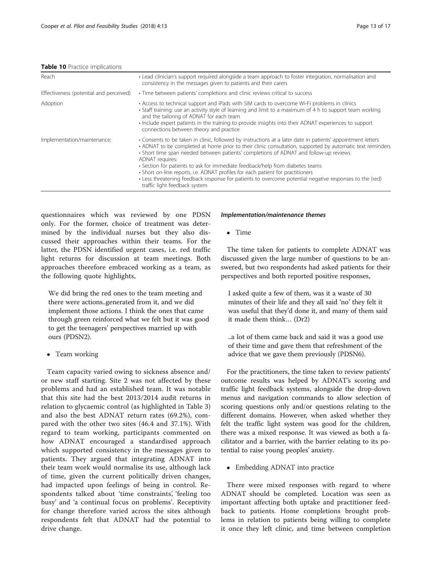<span id="page-12-0"></span>

|  |  |  | <b>Table 10</b> Practice implications |
|--|--|--|---------------------------------------|
|--|--|--|---------------------------------------|

| Reach                                   | • Lead clinician's support required alongside a team approach to foster integration, normalisation and<br>consistency in the messages given to patients and their carers                                                                                                                                                                                                                                                                                                                                                                                                                                                                                    |  |
|-----------------------------------------|-------------------------------------------------------------------------------------------------------------------------------------------------------------------------------------------------------------------------------------------------------------------------------------------------------------------------------------------------------------------------------------------------------------------------------------------------------------------------------------------------------------------------------------------------------------------------------------------------------------------------------------------------------------|--|
| Effectiveness (potential and perceived) | • Time between patients' completions and clinic reviews critical to success                                                                                                                                                                                                                                                                                                                                                                                                                                                                                                                                                                                 |  |
| Adoption                                | • Access to technical support and iPads with SIM cards to overcome Wi-Fi problems in clinics<br>• Staff training: use an activity style of learning and limit to a maximum of 4 h to support team working<br>and the tailoring of ADNAT for each team<br>· Include expert patients in the training to provide insights into their ADNAT experiences to support<br>connections between theory and practice                                                                                                                                                                                                                                                   |  |
| Implementation/maintenance:             | • Consents to be taken in clinic, followed by instructions at a later date in patients' appointment letters<br>• ADNAT to be completed at home prior to their clinic consultation, supported by automatic text reminders<br>• Short time span needed between patients' completions of ADNAT and follow-up reviews<br><b>ADNAT</b> requires:<br>• Section for patients to ask for immediate feedback/help from diabetes teams<br>• Short on-line reports, i.e. ADNAT profiles for each patient for practitioners<br>· Less threatening feedback response for patients to overcome potential negative responses to the (red)<br>traffic light feedback system |  |

questionnaires which was reviewed by one PDSN only. For the former, choice of treatment was determined by the individual nurses but they also discussed their approaches within their teams. For the latter, the PDSN identified urgent cases, i.e. red traffic light returns for discussion at team meetings. Both approaches therefore embraced working as a team, as the following quote highlights,

We did bring the red ones to the team meeting and there were actions..generated from it, and we did implement those actions. I think the ones that came through green reinforced what we felt but it was good to get the teenagers' perspectives married up with ours (PDSN2).

• Team working

Team capacity varied owing to sickness absence and/ or new staff starting. Site 2 was not affected by these problems and had an established team. It was notable that this site had the best 2013/2014 audit returns in relation to glycaemic control (as highlighted in Table [3](#page-6-0)) and also the best ADNAT return rates (69.2%), compared with the other two sites (46.4 and 37.1%). With regard to team working, participants commented on how ADNAT encouraged a standardised approach which supported consistency in the messages given to patients. They argued that integrating ADNAT into their team work would normalise its use, although lack of time, given the current politically driven changes, had impacted upon feelings of being in control. Respondents talked about 'time constraints', 'feeling too busy' and 'a continual focus on problems'. Receptivity for change therefore varied across the sites although respondents felt that ADNAT had the potential to drive change.

### Implementation/maintenance themes

 $\blacksquare$  Time

The time taken for patients to complete ADNAT was discussed given the large number of questions to be answered, but two respondents had asked patients for their perspectives and both reported positive responses,

I asked quite a few of them, was it a waste of 30 minutes of their life and they all said 'no' they felt it was useful that they'd done it, and many of them said it made them think… (Dr2)

..a lot of them came back and said it was a good use of their time and gave them that refreshment of the advice that we gave them previously (PDSN6).

For the practitioners, the time taken to review patients' outcome results was helped by ADNAT's scoring and traffic light feedback systems, alongside the drop-down menus and navigation commands to allow selection of scoring questions only and/or questions relating to the different domains. However, when asked whether they felt the traffic light system was good for the children, there was a mixed response. It was viewed as both a facilitator and a barrier, with the barrier relating to its potential to raise young peoples' anxiety.

• Embedding ADNAT into practice

There were mixed responses with regard to where ADNAT should be completed. Location was seen as important affecting both uptake and practitioner feedback to patients. Home completions brought problems in relation to patients being willing to complete it once they left clinic, and time between completion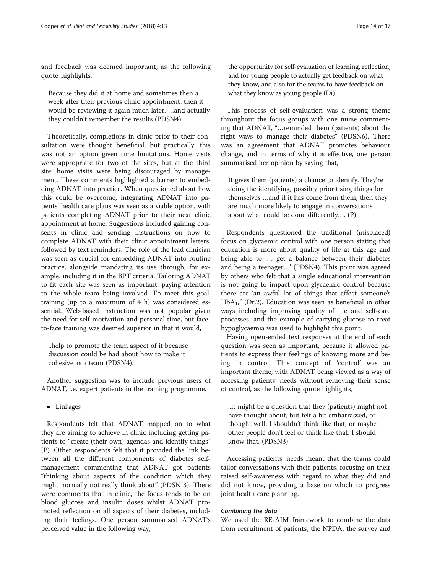and feedback was deemed important, as the following quote highlights,

Because they did it at home and sometimes then a week after their previous clinic appointment, then it would be reviewing it again much later. …and actually they couldn't remember the results (PDSN4)

Theoretically, completions in clinic prior to their consultation were thought beneficial, but practically, this was not an option given time limitations. Home visits were appropriate for two of the sites, but at the third site, home visits were being discouraged by management. These comments highlighted a barrier to embedding ADNAT into practice. When questioned about how this could be overcome, integrating ADNAT into patients' health care plans was seen as a viable option, with patients completing ADNAT prior to their next clinic appointment at home. Suggestions included gaining consents in clinic and sending instructions on how to complete ADNAT with their clinic appointment letters, followed by text reminders. The role of the lead clinician was seen as crucial for embedding ADNAT into routine practice, alongside mandating its use through, for example, including it in the BPT criteria. Tailoring ADNAT to fit each site was seen as important, paying attention to the whole team being involved. To meet this goal, training (up to a maximum of 4 h) was considered essential. Web-based instruction was not popular given the need for self-motivation and personal time, but faceto-face training was deemed superior in that it would,

..help to promote the team aspect of it because discussion could be had about how to make it cohesive as a team (PDSN4).

Another suggestion was to include previous users of ADNAT, i.e. expert patients in the training programme.

Linkages

Respondents felt that ADNAT mapped on to what they are aiming to achieve in clinic including getting patients to "create (their own) agendas and identify things" (P). Other respondents felt that it provided the link between all the different components of diabetes selfmanagement commenting that ADNAT got patients "thinking about aspects of the condition which they might normally not really think about" (PDSN 3). There were comments that in clinic, the focus tends to be on blood glucose and insulin doses whilst ADNAT promoted reflection on all aspects of their diabetes, including their feelings. One person summarised ADNAT's perceived value in the following way,

the opportunity for self-evaluation of learning, reflection, and for young people to actually get feedback on what they know, and also for the teams to have feedback on what they know as young people (Di).

This process of self-evaluation was a strong theme throughout the focus groups with one nurse commenting that ADNAT, "…reminded them (patients) about the right ways to manage their diabetes" (PDSN6). There was an agreement that ADNAT promotes behaviour change, and in terms of why it is effective, one person summarised her opinion by saying that,

It gives them (patients) a chance to identify. They're doing the identifying, possibly prioritising things for themselves …and if it has come from them, then they are much more likely to engage in conversations about what could be done differently…. (P)

Respondents questioned the traditional (misplaced) focus on glycaemic control with one person stating that education is more about quality of life at this age and being able to '… get a balance between their diabetes and being a teenager…' (PDSN4). This point was agreed by others who felt that a single educational intervention is not going to impact upon glycaemic control because there are 'an awful lot of things that affect someone's  $HbA_{1c}$ ' (Dr.2). Education was seen as beneficial in other ways including improving quality of life and self-care processes, and the example of carrying glucose to treat hypoglycaemia was used to highlight this point.

Having open-ended text responses at the end of each question was seen as important, because it allowed patients to express their feelings of knowing more and being in control. This concept of 'control' was an important theme, with ADNAT being viewed as a way of accessing patients' needs without removing their sense of control, as the following quote highlights,

..it might be a question that they (patients) might not have thought about, but felt a bit embarrassed, or thought well, I shouldn't think like that, or maybe other people don't feel or think like that, I should know that. (PDSN3)

Accessing patients' needs meant that the teams could tailor conversations with their patients, focusing on their raised self-awareness with regard to what they did and did not know, providing a base on which to progress joint health care planning.

### Combining the data

We used the RE-AIM framework to combine the data from recruitment of patients, the NPDA, the survey and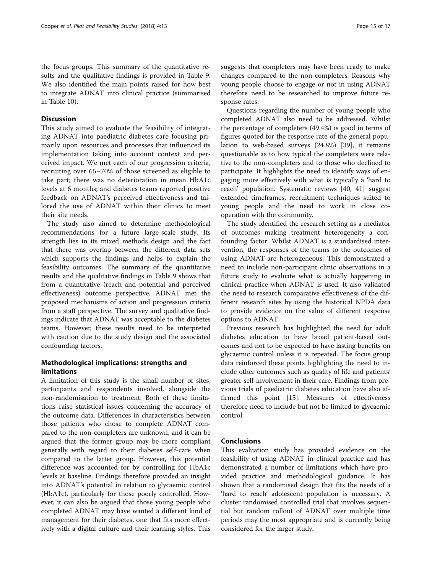## **Discussion**

This study aimed to evaluate the feasibility of integrating ADNAT into paediatric diabetes care focusing primarily upon resources and processes that influenced its implementation taking into account context and perceived impact. We met each of our progression criteria, recruiting over 65–70% of those screened as eligible to take part; there was no deterioration in mean HbA1c levels at 6 months; and diabetes teams reported positive feedback on ADNAT's perceived effectiveness and tailored the use of ADNAT within their clinics to meet their site needs.

The study also aimed to determine methodological recommendations for a future large-scale study. Its strength lies in its mixed methods design and the fact that there was overlap between the different data sets which supports the findings and helps to explain the feasibility outcomes. The summary of the quantitative results and the qualitative findings in Table [9](#page-11-0) shows that from a quantitative (reach and potential and perceived effectiveness) outcome perspective, ADNAT met the proposed mechanisms of action and progression criteria from a staff perspective. The survey and qualitative findings indicate that ADNAT was acceptable to the diabetes teams. However, these results need to be interpreted with caution due to the study design and the associated confounding factors.

## Methodological implications: strengths and limitations

A limitation of this study is the small number of sites, participants and respondents involved, alongside the non-randomisation to treatment. Both of these limitations raise statistical issues concerning the accuracy of the outcome data. Differences in characteristics between those patients who chose to complete ADNAT compared to the non-completers are unknown, and it can be argued that the former group may be more compliant generally with regard to their diabetes self-care when compared to the latter group. However, this potential difference was accounted for by controlling for HbA1c levels at baseline. Findings therefore provided an insight into ADNAT's potential in relation to glycaemic control (HbA1c), particularly for those poorly controlled. However, it can also be argued that those young people who completed ADNAT may have wanted a different kind of management for their diabetes, one that fits more effectively with a digital culture and their learning styles. This suggests that completers may have been ready to make changes compared to the non-completers. Reasons why young people choose to engage or not in using ADNAT therefore need to be researched to improve future response rates.

Questions regarding the number of young people who completed ADNAT also need to be addressed. Whilst the percentage of completers (49.4%) is good in terms of figures quoted for the response rate of the general population to web-based surveys (24.8%) [\[39\]](#page-16-0), it remains questionable as to how typical the completers were relative to the non-completers and to those who declined to participate. It highlights the need to identify ways of engaging more effectively with what is typically a 'hard to reach' population. Systematic reviews [\[40, 41](#page-16-0)] suggest extended timeframes, recruitment techniques suited to young people and the need to work in close cooperation with the community.

The study identified the research setting as a mediator of outcomes making treatment heterogeneity a confounding factor. Whilst ADNAT is a standardised intervention, the responses of the teams to the outcomes of using ADNAT are heterogeneous. This demonstrated a need to include non-participant clinic observations in a future study to evaluate what is actually happening in clinical practice when ADNAT is used. It also validated the need to research comparative effectiveness of the different research sites by using the historical NPDA data to provide evidence on the value of different response options to ADNAT.

Previous research has highlighted the need for adult diabetes education to have broad patient-based outcomes and not to be expected to have lasting benefits on glycaemic control unless it is repeated. The focus group data reinforced these points highlighting the need to include other outcomes such as quality of life and patients' greater self-involvement in their care. Findings from previous trials of paediatric diabetes education have also affirmed this point [\[15](#page-15-0)]. Measures of effectiveness therefore need to include but not be limited to glycaemic control.

## Conclusions

This evaluation study has provided evidence on the feasibility of using ADNAT in clinical practice and has demonstrated a number of limitations which have provided practice and methodological guidance. It has shown that a randomised design that fits the needs of a 'hard to reach' adolescent population is necessary. A cluster randomised controlled trial that involves sequential but random rollout of ADNAT over multiple time periods may the most appropriate and is currently being considered for the larger study.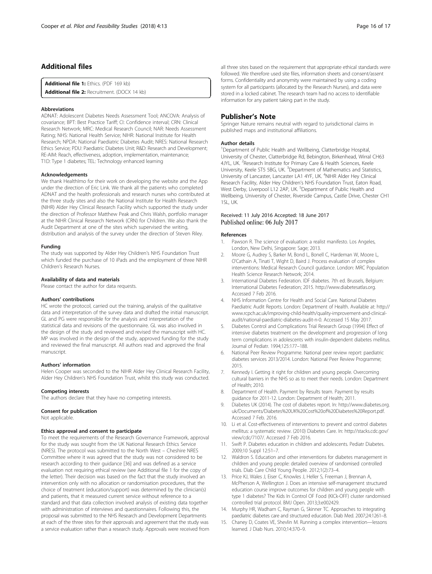## <span id="page-15-0"></span>Additional files

[Additional file 1:](dx.doi.org/10.1186/s40814-017-0164-5) Ethics. (PDF 169 kb) [Additional file 2:](dx.doi.org/10.1186/s40814-017-0164-5) Recruitment. (DOCX 14 kb)

#### Abbreviations

ADNAT: Adolescent Diabetes Needs Assessment Tool; ANCOVA: Analysis of covariance; BPT: Best Practice Tariff; CI: Confidence interval; CRN: Clinical Research Network; MRC: Medical Research Council; NAR: Needs Assessment Rating; NHS: National Health Service; NIHR: National Institute for Health Research; NPDA: National Paediatric Diabetes Audit; NRES: National Research Ethics Service; PDU: Paediatric Diabetes Unit; R&D: Research and Development; RE-AIM: Reach, effectiveness, adoption, implementation, maintenance; T1D: Type 1 diabetes; TEL: Technology enhanced learning

#### Acknowledgements

We thank HealthImo for their work on developing the website and the App under the direction of Eric Link. We thank all the patients who completed ADNAT and the health professionals and research nurses who contributed at the three study sites and also the National Institute for Health Research (NIHR) Alder Hey Clinical Research Facility which supported the study under the direction of Professor Matthew Peak and Chris Walsh, portfolio manager at the NIHR Clinical Research Network (CRN) for Children. We also thank the Audit Department at one of the sites which supervised the writing, distribution and analysis of the survey under the direction of Steven Riley.

#### Funding

The study was supported by Alder Hey Children's NHS Foundation Trust which funded the purchase of 10 iPads and the employment of three NIHR Children's Research Nurses.

#### Availability of data and materials

Please contact the author for data requests.

#### Authors' contributions

HC wrote the protocol, carried out the training, analysis of the qualitative data and interpretation of the survey data and drafted the initial manuscript. GL and PG were responsible for the analysis and interpretation of the statistical data and revisions of the questionnaire. GL was also involved in the design of the study and reviewed and revised the manuscript with HC. MP was involved in the design of the study, approved funding for the study and reviewed the final manuscript. All authors read and approved the final manuscript.

#### Authors' information

Helen Cooper was seconded to the NIHR Alder Hey Clinical Research Facility, Alder Hey Children's NHS Foundation Trust, whilst this study was conducted.

#### Competing interests

The authors declare that they have no competing interests.

#### Consent for publication

Not applicable.

#### Ethics approval and consent to participate

To meet the requirements of the Research Governance Framework, approval for the study was sought from the UK National Research Ethics Service (NRES). The protocol was submitted to the North West – Cheshire NRES Committee where it was agreed that the study was not considered to be research according to their guidance [\[36\]](#page-16-0) and was defined as a service evaluation not requiring ethical review (see Additional file 1 for the copy of the letter). Their decision was based on the fact that the study involved an intervention only with no allocation or randomisation procedures, that the choice of treatment (education/support) was determined by the clinician(s) and patients, that it measured current service without reference to a standard and that data collection involved analysis of existing data together with administration of interviews and questionnaires. Following this, the proposal was submitted to the NHS Research and Development Departments at each of the three sites for their approvals and agreement that the study was a service evaluation rather than a research study. Approvals were received from all three sites based on the requirement that appropriate ethical standards were followed. We therefore used site files, information sheets and consent/assent forms. Confidentiality and anonymity were maintained by using a coding system for all participants (allocated by the Research Nurses), and data were stored in a locked cabinet. The research team had no access to identifiable information for any patient taking part in the study.

### Publisher's Note

Springer Nature remains neutral with regard to jurisdictional claims in published maps and institutional affiliations.

#### Author details

<sup>1</sup>Department of Public Health and Wellbeing, Clatterbridge Hospital University of Chester, Clatterbridge Rd, Bebington, Birkenhead, Wirral CH63 4JYL, UK. <sup>2</sup>Research Institute for Primary Care & Health Sciences, Keele University, Keele ST5 5BG, UK. <sup>3</sup>Department of Mathematics and Statistics University of Lancaster, Lancaster LA1 4YF, UK. <sup>4</sup>NIHR Alder Hey Clinical Research Facility, Alder Hey Children's NHS Foundation Trust, Eaton Road, West Derby, Liverpool L12 2AP, UK. <sup>5</sup>Department of Public Health and Wellbeing, University of Chester, Riverside Campus, Castle Drive, Chester CH1 1SL, UK.

#### Received: 11 July 2016 Accepted: 18 June 2017 Published online: 06 July 2017

#### References

- 1. Pawson R. The science of evaluation: a realist manifesto. Los Angeles, London, New Delhi, Singapore: Sage; 2013.
- 2. Moore G, Audrey S, Barker M, Bond L, Bonell C, Hardeman W, Moore L, O'Cathain A, Tinati T, Wight D, Baird J. Process evaluation of complex interventions: Medical Research Council guidance. London: MRC Population Health Science Research Network; 2014.
- 3. International Diabetes Federation. IDF diabetes. 7th ed. Brussels, Belgium: International Diabetes Federation; 2015.<http://www.diabetesatlas.org>. Accessed 7 Feb 2016.
- 4. NHS Information Centre for Health and Social Care. National Diabetes Paediatric Audit Reports. London: Department of Health. Available at: [http://](http://www.rcpch.ac.uk/improving-child-health/quality-improvement-and-clinical-audit/national-paediatric-diabetes-audit-n-0) [www.rcpch.ac.uk/improving-child-health/quality-improvement-and-clinical](http://www.rcpch.ac.uk/improving-child-health/quality-improvement-and-clinical-audit/national-paediatric-diabetes-audit-n-0)[audit/national-paediatric-diabetes-audit-n-0](http://www.rcpch.ac.uk/improving-child-health/quality-improvement-and-clinical-audit/national-paediatric-diabetes-audit-n-0). Accessed 15 May 2017.
- 5. Diabetes Control and Complications Trial Research Group (1994) Effect of intensive diabetes treatment on the development and progression of long term complications in adolescents with insulin-dependent diabetes mellitus. Journal of Pediatr. 1994;125:177–188.
- 6. National Peer Review Programme. National peer review report: paediatric diabetes services 2013/2014. London: National Peer Review Programme; 2015.
- 7. Kennedy I. Getting it right for children and young people. Overcoming cultural barriers in the NHS so as to meet their needs. London: Department of Health; 2010.
- 8. Department of Health. Payment by Results team. Payment by results guidance for 2011-12. London: Department of Health; 2011.
- 9. Diabetes UK (2014). The cost of diabetes report. In: [http://www.diabetes.org.](http://www.diabetes.org.uk/Documents/Diabetes%20UK%20Cost%20of%20Diabetes%20Report.pdf) [uk/Documents/Diabetes%20UK%20Cost%20of%20Diabetes%20Report.pdf](http://www.diabetes.org.uk/Documents/Diabetes%20UK%20Cost%20of%20Diabetes%20Report.pdf). Accessed 7 Feb. 2016.
- 10. Li et al. Cost-effectiveness of interventions to prevent and control diabetes mellitus: a systematic review. (2010) Diabetes Care. In: [http://stacks.cdc.gov/](http://stacks.cdc.gov/view/cdc/7107/) [view/cdc/7107/](http://stacks.cdc.gov/view/cdc/7107/). Accessed 7 Feb 2016.
- 11. Swift P. Diabetes education in children and adolescents. Pediatr Diabetes. 2009;10 Suppl 12:51–7.
- 12. Waldron S. Education and other interventions for diabetes management in children and young people: detailed overview of randomised controlled trials. Diab Care Child Young People. 2012;1(2):73–4.
- 13. Price KJ, Wales J, Eiser C, Knowles J, Heller S, Freeman J, Brennan A, McPherson A, Wellington J. Does an intensive self-management structured education course improve outcomes for children and young people with type 1 diabetes? The Kids In Control OF Food (KICk-OFF) cluster randomised controlled trial protocol. BMJ Open. 2013;3:e002429.
- 14. Murphy HR, Wadham C, Rayman G, Skinner TC. Approaches to integrating paediatric diabetes care and structured education. Diab Med. 2007;24:1261–8.
- 15. Chaney D, Coates VE, Shevlin M. Running a complex intervention—lessons learned. J Diab Nurs. 2010;14:370–9.